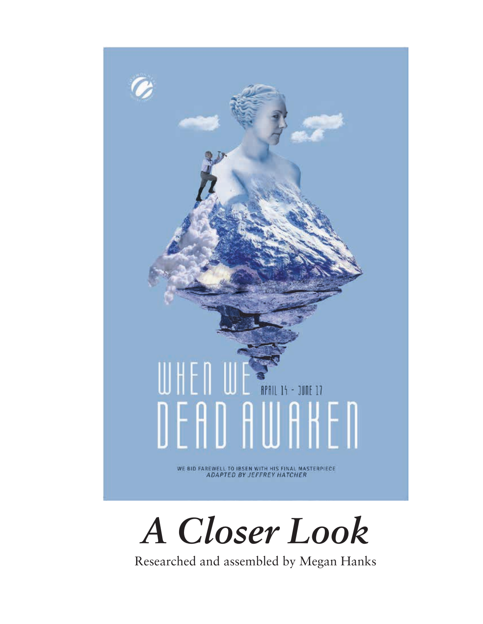



Researched and assembled by Megan Hanks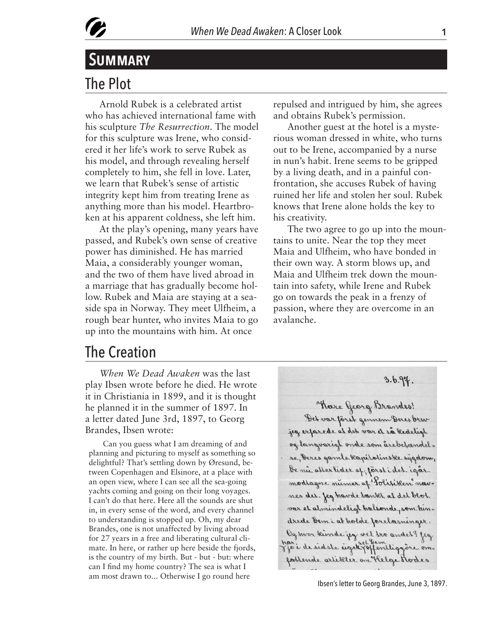

# The Plot **Summary**

Arnold Rubek is a celebrated artist who has achieved international fame with his sculpture *The Resurrection*. The model for this sculpture was Irene, who considered it her life's work to serve Rubek as his model, and through revealing herself completely to him, she fell in love. Later, we learn that Rubek's sense of artistic integrity kept him from treating Irene as anything more than his model. Heartbroken at his apparent coldness, she left him.

At the play's opening, many years have passed, and Rubek's own sense of creative power has diminished. He has married Maia, a considerably younger woman, and the two of them have lived abroad in a marriage that has gradually become hollow. Rubek and Maia are staying at a seaside spa in Norway. They meet Ulfheim, a rough bear hunter, who invites Maia to go up into the mountains with him. At once

repulsed and intrigued by him, she agrees and obtains Rubek's permission.

Another guest at the hotel is a mysterious woman dressed in white, who turns out to be Irene, accompanied by a nurse in nun's habit. Irene seems to be gripped by a living death, and in a painful confrontation, she accuses Rubek of having ruined her life and stolen her soul. Rubek knows that Irene alone holds the key to his creativity.

The two agree to go up into the mountains to unite. Near the top they meet Maia and Ulfheim, who have bonded in their own way. A storm blows up, and Maia and Ulfheim trek down the mountain into safety, while Irene and Rubek go on towards the peak in a frenzy of passion, where they are overcome in an avalanche.

### The Creation

*When We Dead Awaken* was the last play Ibsen wrote before he died. He wrote it in Christiania in 1899, and it is thought he planned it in the summer of 1897. In a letter dated June 3rd, 1897, to Georg Brandes, Ibsen wrote:

Can you guess what I am dreaming of and planning and picturing to myself as something so delightful? That's settling down by Øresund, between Copenhagen and Elsinore, at a place with an open view, where I can see all the sea-going yachts coming and going on their long voyages. I can't do that here. Here all the sounds are shut in, in every sense of the word, and every channel to understanding is stopped up. Oh, my dear Brandes, one is not unaffected by living abroad for 27 years in a free and liberating cultural climate. In here, or rather up here beside the fjords, is the country of my birth. But - but - but: where can I find my home country? The sea is what I am most drawn to... Otherwise I go round here



Ibsen's letter to Georg Brandes, June 3, 1897.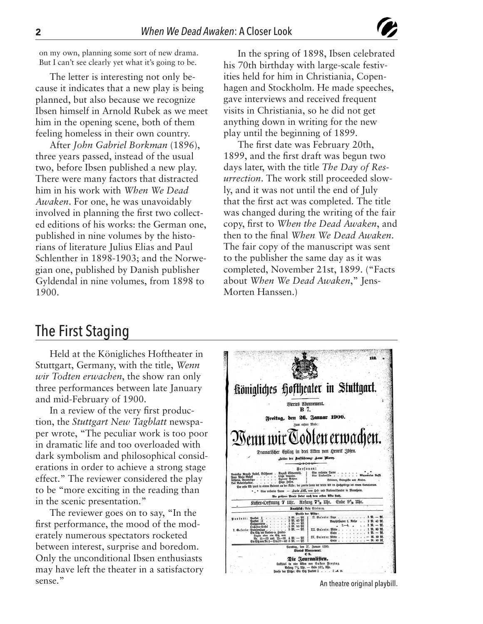on my own, planning some sort of new drama. But I can't see clearly yet what it's going to be.

The letter is interesting not only because it indicates that a new play is being planned, but also because we recognize Ibsen himself in Arnold Rubek as we meet him in the opening scene, both of them feeling homeless in their own country.

After *John Gabriel Borkman* (1896), three years passed, instead of the usual two, before Ibsen published a new play. There were many factors that distracted him in his work with *When We Dead Awaken*. For one, he was unavoidably involved in planning the first two collected editions of his works: the German one, published in nine volumes by the historians of literature Julius Elias and Paul Schlenther in 1898-1903; and the Norwegian one, published by Danish publisher Gyldendal in nine volumes, from 1898 to 1900.

In the spring of 1898, Ibsen celebrated his 70th birthday with large-scale festivities held for him in Christiania, Copenhagen and Stockholm. He made speeches, gave interviews and received frequent visits in Christiania, so he did not get anything down in writing for the new play until the beginning of 1899.

The first date was February 20th, 1899, and the first draft was begun two days later, with the title *The Day of Resurrection*. The work still proceeded slowly, and it was not until the end of July that the first act was completed. The title was changed during the writing of the fair copy, first to *When the Dead Awaken*, and then to the final *When We Dead Awaken*. The fair copy of the manuscript was sent to the publisher the same day as it was completed, November 21st, 1899. ("Facts about *When We Dead Awaken*," Jens-Morten Hanssen.)

## The First Staging

Held at the Königliches Hoftheater in Stuttgart, Germany, with the title, *Wenn wir Todten erwachen*, the show ran only three performances between late January and mid-February of 1900.

In a review of the very first production, the *Stuttgart New Tagblatt* newspaper wrote, "The peculiar work is too poor in dramatic life and too overloaded with dark symbolism and philosophical considerations in order to achieve a strong stage effect." The reviewer considered the play to be "more exciting in the reading than in the scenic presentation."

The reviewer goes on to say, "In the first performance, the mood of the moderately numerous spectators rocketed between interest, surprise and boredom. Only the unconditional Ibsen enthusiasts may have left the theater in a satisfactory sense."

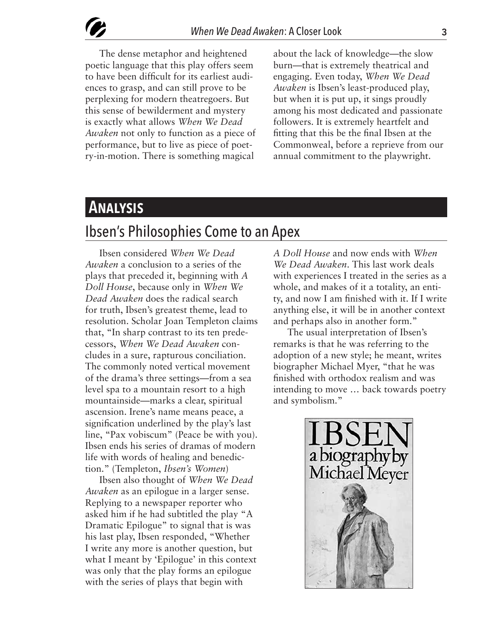The dense metaphor and heightened poetic language that this play offers seem to have been difficult for its earliest audiences to grasp, and can still prove to be perplexing for modern theatregoers. But this sense of bewilderment and mystery is exactly what allows *When We Dead Awaken* not only to function as a piece of performance, but to live as piece of poetry-in-motion. There is something magical

about the lack of knowledge—the slow burn—that is extremely theatrical and engaging. Even today, *When We Dead Awaken* is Ibsen's least-produced play, but when it is put up, it sings proudly among his most dedicated and passionate followers. It is extremely heartfelt and fitting that this be the final Ibsen at the Commonweal, before a reprieve from our annual commitment to the playwright.

# **Analysis**

## Ibsen's Philosophies Come to an Apex

Ibsen considered *When We Dead Awaken* a conclusion to a series of the plays that preceded it, beginning with *A Doll House*, because only in *When We Dead Awaken* does the radical search for truth, Ibsen's greatest theme, lead to resolution. Scholar Joan Templeton claims that, "In sharp contrast to its ten predecessors, *When We Dead Awaken* concludes in a sure, rapturous conciliation. The commonly noted vertical movement of the drama's three settings—from a sea level spa to a mountain resort to a high mountainside—marks a clear, spiritual ascension. Irene's name means peace, a signification underlined by the play's last line, "Pax vobiscum" (Peace be with you). Ibsen ends his series of dramas of modern life with words of healing and benediction." (Templeton, *Ibsen's Women*)

Ibsen also thought of *When We Dead Awaken* as an epilogue in a larger sense. Replying to a newspaper reporter who asked him if he had subtitled the play "A Dramatic Epilogue" to signal that is was his last play, Ibsen responded, "Whether I write any more is another question, but what I meant by 'Epilogue' in this context was only that the play forms an epilogue with the series of plays that begin with

*A Doll House* and now ends with *When We Dead Awaken*. This last work deals with experiences I treated in the series as a whole, and makes of it a totality, an entity, and now I am finished with it. If I write anything else, it will be in another context and perhaps also in another form."

The usual interpretation of Ibsen's remarks is that he was referring to the adoption of a new style; he meant, writes biographer Michael Myer, "that he was finished with orthodox realism and was intending to move … back towards poetry and symbolism."

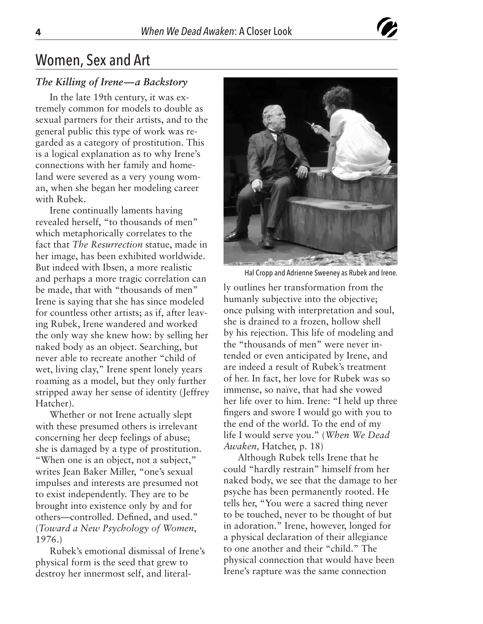

## Women, Sex and Art

#### *The Killing of Irene—a Backstory*

In the late 19th century, it was extremely common for models to double as sexual partners for their artists, and to the general public this type of work was regarded as a category of prostitution. This is a logical explanation as to why Irene's connections with her family and homeland were severed as a very young woman, when she began her modeling career with Rubek.

Irene continually laments having revealed herself, "to thousands of men" which metaphorically correlates to the fact that *The Resurrection* statue, made in her image, has been exhibited worldwide. But indeed with Ibsen, a more realistic and perhaps a more tragic correlation can be made, that with "thousands of men" Irene is saying that she has since modeled for countless other artists; as if, after leaving Rubek, Irene wandered and worked the only way she knew how: by selling her naked body as an object. Searching, but never able to recreate another "child of wet, living clay," Irene spent lonely years roaming as a model, but they only further stripped away her sense of identity (Jeffrey Hatcher).

Whether or not Irene actually slept with these presumed others is irrelevant concerning her deep feelings of abuse; she is damaged by a type of prostitution. "When one is an object, not a subject," writes Jean Baker Miller, "one's sexual impulses and interests are presumed not to exist independently. They are to be brought into existence only by and for others—controlled. Defined, and used." (*Toward a New Psychology of Women*, 1976.)

Rubek's emotional dismissal of Irene's physical form is the seed that grew to destroy her innermost self, and literal-



Hal Cropp and Adrienne Sweeney as Rubek and Irene.

ly outlines her transformation from the humanly subjective into the objective; once pulsing with interpretation and soul, she is drained to a frozen, hollow shell by his rejection. This life of modeling and the "thousands of men" were never intended or even anticipated by Irene, and are indeed a result of Rubek's treatment of her. In fact, her love for Rubek was so immense, so naïve, that had she vowed her life over to him. Irene: "I held up three fingers and swore I would go with you to the end of the world. To the end of my life I would serve you." (*When We Dead Awaken,* Hatcher, p. 18)

Although Rubek tells Irene that he could "hardly restrain" himself from her naked body, we see that the damage to her psyche has been permanently rooted. He tells her, "You were a sacred thing never to be touched, never to be thought of but in adoration." Irene, however, longed for a physical declaration of their allegiance to one another and their "child." The physical connection that would have been Irene's rapture was the same connection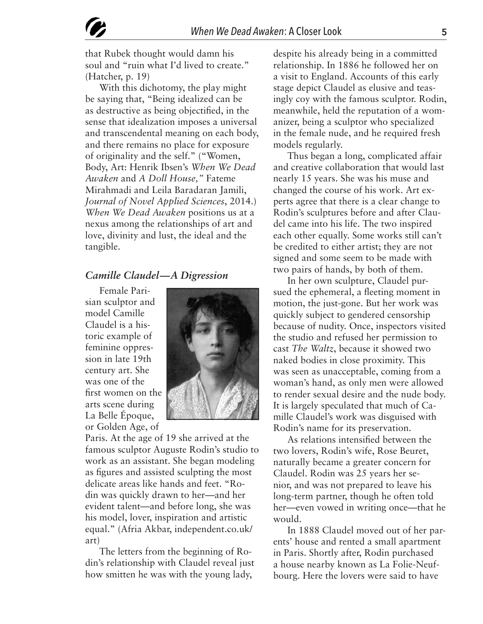that Rubek thought would damn his soul and "ruin what I'd lived to create." (Hatcher, p. 19)

With this dichotomy, the play might be saying that, "Being idealized can be as destructive as being objectified, in the sense that idealization imposes a universal and transcendental meaning on each body, and there remains no place for exposure of originality and the self." ("Women, Body, Art: Henrik Ibsen's *When We Dead Awaken* and *A Doll House,"* Fateme Mirahmadi and Leila Baradaran Jamili, *Journal of Novel Applied Sciences*, 2014.) *When We Dead Awaken* positions us at a nexus among the relationships of art and love, divinity and lust, the ideal and the tangible.

#### *Camille Claudel—A Digression*

Female Parisian sculptor and model Camille Claudel is a historic example of feminine oppression in late 19th century art. She was one of the first women on the arts scene during La Belle Époque, or Golden Age, of



Paris. At the age of 19 she arrived at the famous sculptor Auguste Rodin's studio to work as an assistant. She began modeling as figures and assisted sculpting the most delicate areas like hands and feet. "Rodin was quickly drawn to her—and her evident talent—and before long, she was his model, lover, inspiration and artistic equal." (Afria Akbar, independent.co.uk/ art)

The letters from the beginning of Rodin's relationship with Claudel reveal just how smitten he was with the young lady,

despite his already being in a committed relationship. In 1886 he followed her on a visit to England. Accounts of this early stage depict Claudel as elusive and teasingly coy with the famous sculptor. Rodin, meanwhile, held the reputation of a womanizer, being a sculptor who specialized in the female nude, and he required fresh models regularly.

Thus began a long, complicated affair and creative collaboration that would last nearly 15 years. She was his muse and changed the course of his work. Art experts agree that there is a clear change to Rodin's sculptures before and after Claudel came into his life. The two inspired each other equally. Some works still can't be credited to either artist; they are not signed and some seem to be made with two pairs of hands, by both of them.

In her own sculpture, Claudel pursued the ephemeral, a fleeting moment in motion, the just-gone. But her work was quickly subject to gendered censorship because of nudity. Once, inspectors visited the studio and refused her permission to cast *The Waltz*, because it showed two naked bodies in close proximity. This was seen as unacceptable, coming from a woman's hand, as only men were allowed to render sexual desire and the nude body. It is largely speculated that much of Camille Claudel's work was disguised with Rodin's name for its preservation.

As relations intensified between the two lovers, Rodin's wife, Rose Beuret, naturally became a greater concern for Claudel. Rodin was 25 years her senior, and was not prepared to leave his long-term partner, though he often told her—even vowed in writing once—that he would.

In 1888 Claudel moved out of her parents' house and rented a small apartment in Paris. Shortly after, Rodin purchased a house nearby known as La Folie-Neufbourg. Here the lovers were said to have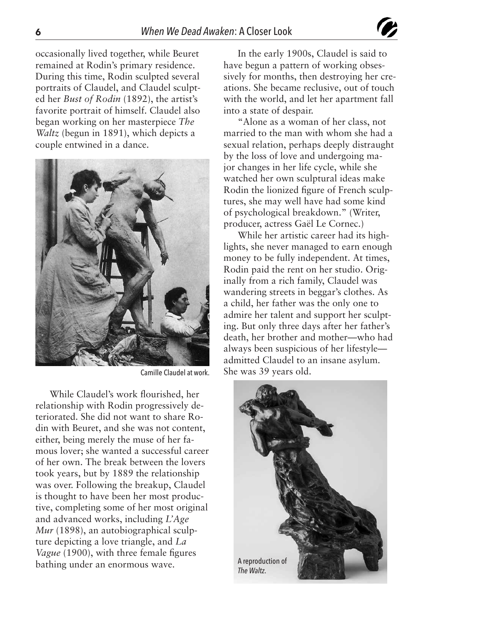occasionally lived together, while Beuret remained at Rodin's primary residence. During this time, Rodin sculpted several portraits of Claudel, and Claudel sculpted her *Bust of Rodin* (1892), the artist's favorite portrait of himself. Claudel also began working on her masterpiece *The Waltz* (begun in 1891), which depicts a couple entwined in a dance.



While Claudel's work flourished, her relationship with Rodin progressively deteriorated. She did not want to share Rodin with Beuret, and she was not content, either, being merely the muse of her famous lover; she wanted a successful career of her own. The break between the lovers took years, but by 1889 the relationship was over. Following the breakup, Claudel is thought to have been her most productive, completing some of her most original and advanced works, including *L'Age Mur* (1898), an autobiographical sculpture depicting a love triangle, and *La Vague* (1900), with three female figures bathing under an enormous wave.

In the early 1900s, Claudel is said to have begun a pattern of working obsessively for months, then destroying her creations. She became reclusive, out of touch with the world, and let her apartment fall into a state of despair.

"Alone as a woman of her class, not married to the man with whom she had a sexual relation, perhaps deeply distraught by the loss of love and undergoing major changes in her life cycle, while she watched her own sculptural ideas make Rodin the lionized figure of French sculptures, she may well have had some kind of psychological breakdown." (Writer, producer, actress Gaël Le Cornec.)

While her artistic career had its highlights, she never managed to earn enough money to be fully independent. At times, Rodin paid the rent on her studio. Originally from a rich family, Claudel was wandering streets in beggar's clothes. As a child, her father was the only one to admire her talent and support her sculpting. But only three days after her father's death, her brother and mother—who had always been suspicious of her lifestyle admitted Claudel to an insane asylum. Camille Claudel at work. She was 39 years old.

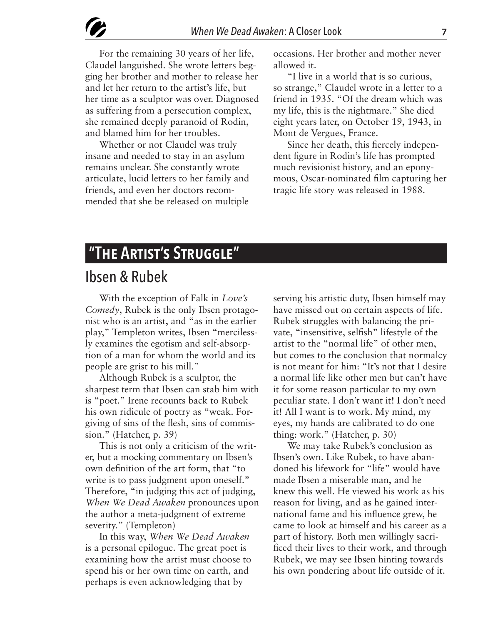For the remaining 30 years of her life, Claudel languished. She wrote letters begging her brother and mother to release her and let her return to the artist's life, but her time as a sculptor was over. Diagnosed as suffering from a persecution complex, she remained deeply paranoid of Rodin, and blamed him for her troubles.

Whether or not Claudel was truly insane and needed to stay in an asylum remains unclear. She constantly wrote articulate, lucid letters to her family and friends, and even her doctors recommended that she be released on multiple

occasions. Her brother and mother never allowed it.

"I live in a world that is so curious, so strange," Claudel wrote in a letter to a friend in 1935. "Of the dream which was my life, this is the nightmare." She died eight years later, on October 19, 1943, in Mont de Vergues, France.

Since her death, this fiercely independent figure in Rodin's life has prompted much revisionist history, and an eponymous, Oscar-nominated film capturing her tragic life story was released in 1988.

# **"The Artist's Struggle"**

### Ibsen & Rubek

With the exception of Falk in *Love's Comedy*, Rubek is the only Ibsen protagonist who is an artist, and "as in the earlier play," Templeton writes, Ibsen "mercilessly examines the egotism and self-absorption of a man for whom the world and its people are grist to his mill."

Although Rubek is a sculptor, the sharpest term that Ibsen can stab him with is "poet." Irene recounts back to Rubek his own ridicule of poetry as "weak. Forgiving of sins of the flesh, sins of commission." (Hatcher, p. 39)

This is not only a criticism of the writer, but a mocking commentary on Ibsen's own definition of the art form, that "to write is to pass judgment upon oneself." Therefore, "in judging this act of judging, *When We Dead Awaken* pronounces upon the author a meta-judgment of extreme severity." (Templeton)

In this way, *When We Dead Awaken*  is a personal epilogue. The great poet is examining how the artist must choose to spend his or her own time on earth, and perhaps is even acknowledging that by

serving his artistic duty, Ibsen himself may have missed out on certain aspects of life. Rubek struggles with balancing the private, "insensitive, selfish" lifestyle of the artist to the "normal life" of other men, but comes to the conclusion that normalcy is not meant for him: "It's not that I desire a normal life like other men but can't have it for some reason particular to my own peculiar state. I don't want it! I don't need it! All I want is to work. My mind, my eyes, my hands are calibrated to do one thing: work." (Hatcher, p. 30)

We may take Rubek's conclusion as Ibsen's own. Like Rubek, to have abandoned his lifework for "life" would have made Ibsen a miserable man, and he knew this well. He viewed his work as his reason for living, and as he gained international fame and his influence grew, he came to look at himself and his career as a part of history. Both men willingly sacrificed their lives to their work, and through Rubek, we may see Ibsen hinting towards his own pondering about life outside of it.